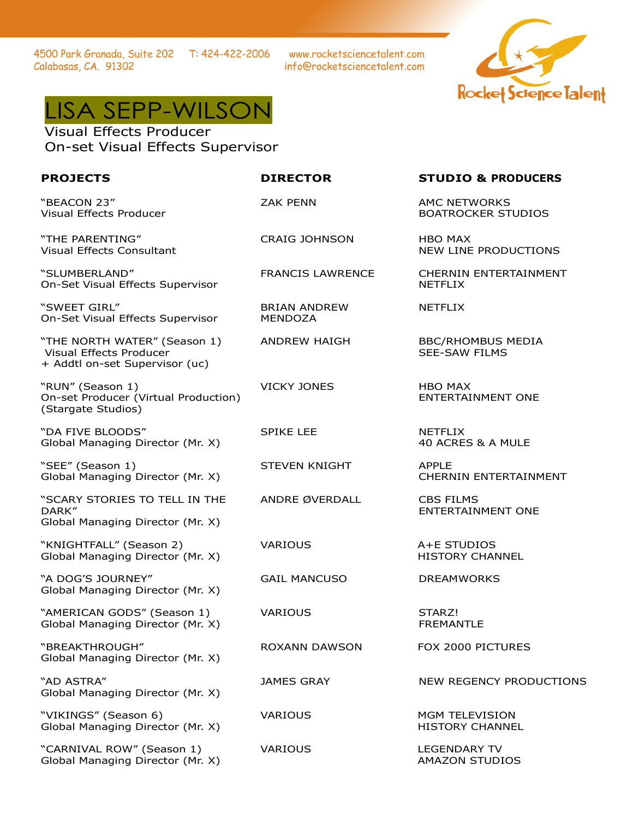4500 Park Granada, Suite 202 T: 424-422-2006 Calabasas, CA. 91302

www.rocketsciencetalent.com info@rocketsciencetalent.com



## LISA SEPP-WILSON

Visual Effects Producer On-set Visual Effects Supervisor

"BEACON 23"

Visual Effects Producer

Visual Effects Consultant

Visual Effects Producer

"RUN" (Season 1)

(Stargate Studios)

On-Set Visual Effects Supervisor

On-Set Visual Effects Supervisor

"THE NORTH WATER" (Season 1)

+ Addtl on-set Supervisor (uc)

"THE PARENTING"

"SLUMBERLAND"

"SWEET GIRL"

CRAIG JOHNSON HBO MAX

BRIAN ANDREW MENDOZA

VICKY JONES HBO MAX

"DA FIVE BLOODS" Global Managing Director (Mr. X)

On-set Producer (Virtual Production)

"SEE" (Season 1) Global Managing Director (Mr. X)

"SCARY STORIES TO TELL IN THE DARK" Global Managing Director (Mr. X)

"KNIGHTFALL" (Season 2) Global Managing Director (Mr. X)

"A DOG'S JOURNEY" Global Managing Director (Mr. X)

"AMERICAN GODS" (Season 1) Global Managing Director (Mr. X)

"BREAKTHROUGH" Global Managing Director (Mr. X)

"AD ASTRA" Global Managing Director (Mr. X)

"VIKINGS" (Season 6) Global Managing Director (Mr. X)

"CARNIVAL ROW" (Season 1) Global Managing Director (Mr. X) SPIKE LEE NETFLIX

STEVEN KNIGHT APPLE

ANDRE ØVERDALL CBS FILMS

GAIL MANCUSO DREAMWORKS

VARIOUS STARZ!

## **PROJECTS DIRECTOR STUDIO & PRODUCERS**

ZAK PENN AMC NETWORKS BOATROCKER STUDIOS

NEW LINE PRODUCTIONS

FRANCIS LAWRENCE CHERNIN ENTERTAINMENT NETFLIX

NETFLIX

ANDREW HAIGH BBC/RHOMBUS MEDIA SEE-SAW FILMS

ENTERTAINMENT ONE

40 ACRES & A MULE

CHERNIN ENTERTAINMENT

ENTERTAINMENT ONE

VARIOUS A+E STUDIOS HISTORY CHANNEL

FREMANTLE

ROXANN DAWSON FOX 2000 PICTURES

JAMES GRAY NEW REGENCY PRODUCTIONS

VARIOUS MGM TELEVISION HISTORY CHANNEL

VARIOUS LEGENDARY TV AMAZON STUDIOS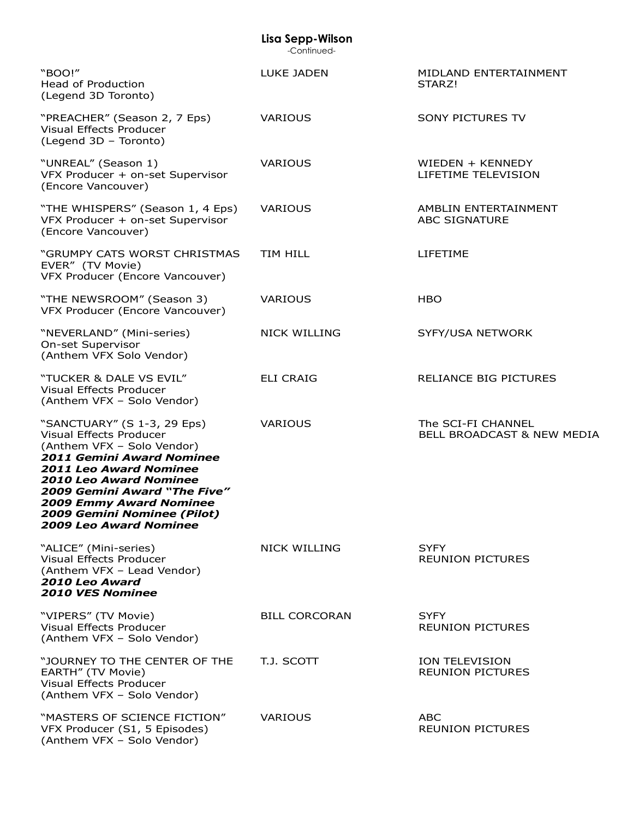| Lisa Sepp-Wilson<br>-Continued-                                                                                                                                                                                                                                                                                                     |                      |                                                  |  |
|-------------------------------------------------------------------------------------------------------------------------------------------------------------------------------------------------------------------------------------------------------------------------------------------------------------------------------------|----------------------|--------------------------------------------------|--|
| "BOO!"<br><b>Head of Production</b><br>(Legend 3D Toronto)                                                                                                                                                                                                                                                                          | <b>LUKE JADEN</b>    | MIDLAND ENTERTAINMENT<br>STARZ!                  |  |
| "PREACHER" (Season 2, 7 Eps)<br>Visual Effects Producer<br>(Legend 3D - Toronto)                                                                                                                                                                                                                                                    | <b>VARIOUS</b>       | <b>SONY PICTURES TV</b>                          |  |
| "UNREAL" (Season 1)<br>VFX Producer + on-set Supervisor<br>(Encore Vancouver)                                                                                                                                                                                                                                                       | <b>VARIOUS</b>       | WIEDEN + KENNEDY<br>LIFETIME TELEVISION          |  |
| "THE WHISPERS" (Season 1, 4 Eps)<br>VFX Producer + on-set Supervisor<br>(Encore Vancouver)                                                                                                                                                                                                                                          | VARIOUS              | AMBLIN ENTERTAINMENT<br>ABC SIGNATURE            |  |
| "GRUMPY CATS WORST CHRISTMAS<br>EVER" (TV Movie)<br>VFX Producer (Encore Vancouver)                                                                                                                                                                                                                                                 | <b>TIM HILL</b>      | LIFETIME                                         |  |
| "THE NEWSROOM" (Season 3)<br>VFX Producer (Encore Vancouver)                                                                                                                                                                                                                                                                        | <b>VARIOUS</b>       | <b>HBO</b>                                       |  |
| "NEVERLAND" (Mini-series)<br>On-set Supervisor<br>(Anthem VFX Solo Vendor)                                                                                                                                                                                                                                                          | <b>NICK WILLING</b>  | SYFY/USA NETWORK                                 |  |
| "TUCKER & DALE VS EVIL"<br>Visual Effects Producer<br>(Anthem VFX - Solo Vendor)                                                                                                                                                                                                                                                    | <b>ELI CRAIG</b>     | <b>RELIANCE BIG PICTURES</b>                     |  |
| "SANCTUARY" (S 1-3, 29 Eps)<br>Visual Effects Producer<br>(Anthem VFX - Solo Vendor)<br><b>2011 Gemini Award Nominee</b><br><b>2011 Leo Award Nominee</b><br><b>2010 Leo Award Nominee</b><br><b>2009 Gemini Award "The Five"</b><br><b>2009 Emmy Award Nominee</b><br>2009 Gemini Nominee (Pilot)<br><b>2009 Leo Award Nominee</b> | <b>VARIOUS</b>       | The SCI-FI CHANNEL<br>BELL BROADCAST & NEW MEDIA |  |
| "ALICE" (Mini-series)<br>Visual Effects Producer<br>(Anthem VFX - Lead Vendor)<br>2010 Leo Award<br><b>2010 VES Nominee</b>                                                                                                                                                                                                         | <b>NICK WILLING</b>  | <b>SYFY</b><br><b>REUNION PICTURES</b>           |  |
| "VIPERS" (TV Movie)<br>Visual Effects Producer<br>(Anthem VFX - Solo Vendor)                                                                                                                                                                                                                                                        | <b>BILL CORCORAN</b> | <b>SYFY</b><br><b>REUNION PICTURES</b>           |  |
| "JOURNEY TO THE CENTER OF THE<br>EARTH" (TV Movie)<br>Visual Effects Producer<br>(Anthem VFX - Solo Vendor)                                                                                                                                                                                                                         | T.J. SCOTT           | <b>ION TELEVISION</b><br><b>REUNION PICTURES</b> |  |
| "MASTERS OF SCIENCE FICTION"<br>VFX Producer (S1, 5 Episodes)<br>(Anthem VFX - Solo Vendor)                                                                                                                                                                                                                                         | <b>VARIOUS</b>       | <b>ABC</b><br><b>REUNION PICTURES</b>            |  |